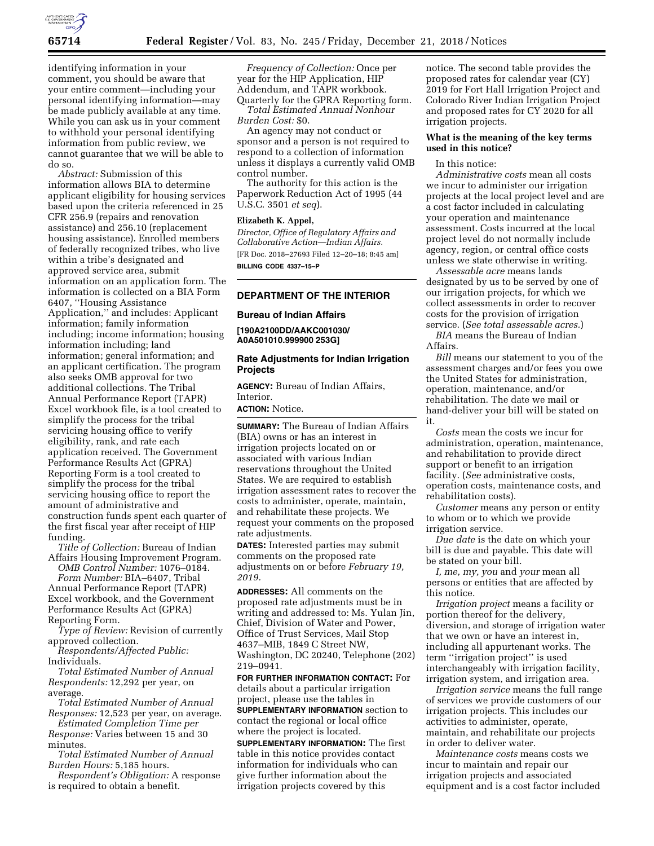

identifying information in your comment, you should be aware that your entire comment—including your personal identifying information—may be made publicly available at any time. While you can ask us in your comment to withhold your personal identifying information from public review, we cannot guarantee that we will be able to do so.

*Abstract:* Submission of this information allows BIA to determine applicant eligibility for housing services based upon the criteria referenced in 25 CFR 256.9 (repairs and renovation assistance) and 256.10 (replacement housing assistance). Enrolled members of federally recognized tribes, who live within a tribe's designated and approved service area, submit information on an application form. The information is collected on a BIA Form 6407, ''Housing Assistance Application,'' and includes: Applicant information; family information including; income information; housing information including; land information; general information; and an applicant certification. The program also seeks OMB approval for two additional collections. The Tribal Annual Performance Report (TAPR) Excel workbook file, is a tool created to simplify the process for the tribal servicing housing office to verify eligibility, rank, and rate each application received. The Government Performance Results Act (GPRA) Reporting Form is a tool created to simplify the process for the tribal servicing housing office to report the amount of administrative and construction funds spent each quarter of the first fiscal year after receipt of HIP funding.

*Title of Collection:* Bureau of Indian Affairs Housing Improvement Program.

*OMB Control Number:* 1076–0184. *Form Number:* BIA–6407, Tribal

Annual Performance Report (TAPR) Excel workbook, and the Government Performance Results Act (GPRA) Reporting Form.

*Type of Review:* Revision of currently approved collection.

*Respondents/Affected Public:*  Individuals.

*Total Estimated Number of Annual Respondents:* 12,292 per year, on average.

*Total Estimated Number of Annual Responses:* 12,523 per year, on average.

*Estimated Completion Time per Response:* Varies between 15 and 30 minutes.

*Total Estimated Number of Annual Burden Hours:* 5,185 hours.

*Respondent's Obligation:* A response is required to obtain a benefit.

*Frequency of Collection:* Once per year for the HIP Application, HIP Addendum, and TAPR workbook. Quarterly for the GPRA Reporting form.

*Total Estimated Annual Nonhour Burden Cost:* \$0.

An agency may not conduct or sponsor and a person is not required to respond to a collection of information unless it displays a currently valid OMB control number.

The authority for this action is the Paperwork Reduction Act of 1995 (44 U.S.C. 3501 *et seq*).

## **Elizabeth K. Appel,**

*Director, Office of Regulatory Affairs and Collaborative Action—Indian Affairs.*  [FR Doc. 2018–27693 Filed 12–20–18; 8:45 am] **BILLING CODE 4337–15–P** 

## **DEPARTMENT OF THE INTERIOR**

#### **Bureau of Indian Affairs**

**[190A2100DD/AAKC001030/ A0A501010.999900 253G]** 

## **Rate Adjustments for Indian Irrigation Projects**

**AGENCY:** Bureau of Indian Affairs, **Interior** 

**ACTION:** Notice.

**SUMMARY:** The Bureau of Indian Affairs (BIA) owns or has an interest in irrigation projects located on or associated with various Indian reservations throughout the United States. We are required to establish irrigation assessment rates to recover the costs to administer, operate, maintain, and rehabilitate these projects. We request your comments on the proposed rate adjustments.

**DATES:** Interested parties may submit comments on the proposed rate adjustments on or before *February 19, 2019.* 

**ADDRESSES:** All comments on the proposed rate adjustments must be in writing and addressed to: Ms. Yulan Jin, Chief, Division of Water and Power, Office of Trust Services, Mail Stop 4637–MIB, 1849 C Street NW, Washington, DC 20240, Telephone (202) 219–0941.

**FOR FURTHER INFORMATION CONTACT:** For details about a particular irrigation project, please use the tables in **SUPPLEMENTARY INFORMATION** section to contact the regional or local office where the project is located.

**SUPPLEMENTARY INFORMATION:** The first table in this notice provides contact information for individuals who can give further information about the irrigation projects covered by this

notice. The second table provides the proposed rates for calendar year (CY) 2019 for Fort Hall Irrigation Project and Colorado River Indian Irrigation Project and proposed rates for CY 2020 for all irrigation projects.

## **What is the meaning of the key terms used in this notice?**

In this notice:

*Administrative costs* mean all costs we incur to administer our irrigation projects at the local project level and are a cost factor included in calculating your operation and maintenance assessment. Costs incurred at the local project level do not normally include agency, region, or central office costs unless we state otherwise in writing.

*Assessable acre* means lands designated by us to be served by one of our irrigation projects, for which we collect assessments in order to recover costs for the provision of irrigation service. (*See total assessable acres.*)

*BIA* means the Bureau of Indian Affairs.

*Bill* means our statement to you of the assessment charges and/or fees you owe the United States for administration, operation, maintenance, and/or rehabilitation. The date we mail or hand-deliver your bill will be stated on it.

*Costs* mean the costs we incur for administration, operation, maintenance, and rehabilitation to provide direct support or benefit to an irrigation facility. (*See* administrative costs, operation costs, maintenance costs, and rehabilitation costs).

*Customer* means any person or entity to whom or to which we provide irrigation service.

*Due date* is the date on which your bill is due and payable. This date will be stated on your bill.

*I, me, my, you* and *your* mean all persons or entities that are affected by this notice.

*Irrigation project* means a facility or portion thereof for the delivery, diversion, and storage of irrigation water that we own or have an interest in, including all appurtenant works. The term ''irrigation project'' is used interchangeably with irrigation facility, irrigation system, and irrigation area.

*Irrigation service* means the full range of services we provide customers of our irrigation projects. This includes our activities to administer, operate, maintain, and rehabilitate our projects in order to deliver water.

*Maintenance costs* means costs we incur to maintain and repair our irrigation projects and associated equipment and is a cost factor included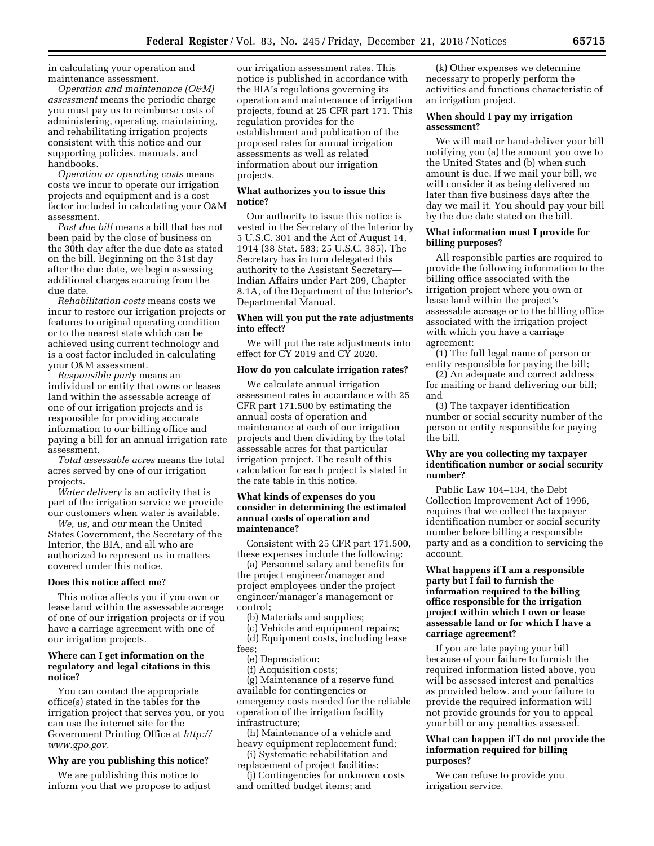in calculating your operation and maintenance assessment.

*Operation and maintenance (O&M) assessment* means the periodic charge you must pay us to reimburse costs of administering, operating, maintaining, and rehabilitating irrigation projects consistent with this notice and our supporting policies, manuals, and handbooks.

*Operation or operating costs* means costs we incur to operate our irrigation projects and equipment and is a cost factor included in calculating your O&M assessment.

*Past due bill* means a bill that has not been paid by the close of business on the 30th day after the due date as stated on the bill. Beginning on the 31st day after the due date, we begin assessing additional charges accruing from the due date.

*Rehabilitation costs* means costs we incur to restore our irrigation projects or features to original operating condition or to the nearest state which can be achieved using current technology and is a cost factor included in calculating your O&M assessment.

*Responsible party* means an individual or entity that owns or leases land within the assessable acreage of one of our irrigation projects and is responsible for providing accurate information to our billing office and paying a bill for an annual irrigation rate assessment.

*Total assessable acres* means the total acres served by one of our irrigation projects.

*Water delivery* is an activity that is part of the irrigation service we provide our customers when water is available.

*We, us,* and *our* mean the United States Government, the Secretary of the Interior, the BIA, and all who are authorized to represent us in matters covered under this notice.

#### **Does this notice affect me?**

This notice affects you if you own or lease land within the assessable acreage of one of our irrigation projects or if you have a carriage agreement with one of our irrigation projects.

#### **Where can I get information on the regulatory and legal citations in this notice?**

You can contact the appropriate office(s) stated in the tables for the irrigation project that serves you, or you can use the internet site for the Government Printing Office at *[http://](http://www.gpo.gov) [www.gpo.gov.](http://www.gpo.gov)* 

#### **Why are you publishing this notice?**

We are publishing this notice to inform you that we propose to adjust

our irrigation assessment rates. This notice is published in accordance with the BIA's regulations governing its operation and maintenance of irrigation projects, found at 25 CFR part 171. This regulation provides for the establishment and publication of the proposed rates for annual irrigation assessments as well as related information about our irrigation projects.

### **What authorizes you to issue this notice?**

Our authority to issue this notice is vested in the Secretary of the Interior by 5 U.S.C. 301 and the Act of August 14, 1914 (38 Stat. 583; 25 U.S.C. 385). The Secretary has in turn delegated this authority to the Assistant Secretary— Indian Affairs under Part 209, Chapter 8.1A, of the Department of the Interior's Departmental Manual.

#### **When will you put the rate adjustments into effect?**

We will put the rate adjustments into effect for CY 2019 and CY 2020.

#### **How do you calculate irrigation rates?**

We calculate annual irrigation assessment rates in accordance with 25 CFR part 171.500 by estimating the annual costs of operation and maintenance at each of our irrigation projects and then dividing by the total assessable acres for that particular irrigation project. The result of this calculation for each project is stated in the rate table in this notice.

#### **What kinds of expenses do you consider in determining the estimated annual costs of operation and maintenance?**

Consistent with 25 CFR part 171.500, these expenses include the following:

(a) Personnel salary and benefits for the project engineer/manager and project employees under the project engineer/manager's management or control;

(b) Materials and supplies;

(c) Vehicle and equipment repairs; (d) Equipment costs, including lease fees;

(e) Depreciation;

(f) Acquisition costs;

(g) Maintenance of a reserve fund available for contingencies or emergency costs needed for the reliable operation of the irrigation facility infrastructure;

(h) Maintenance of a vehicle and heavy equipment replacement fund;

(i) Systematic rehabilitation and replacement of project facilities;

(j) Contingencies for unknown costs and omitted budget items; and

(k) Other expenses we determine necessary to properly perform the activities and functions characteristic of an irrigation project.

### **When should I pay my irrigation assessment?**

We will mail or hand-deliver your bill notifying you (a) the amount you owe to the United States and (b) when such amount is due. If we mail your bill, we will consider it as being delivered no later than five business days after the day we mail it. You should pay your bill by the due date stated on the bill.

#### **What information must I provide for billing purposes?**

All responsible parties are required to provide the following information to the billing office associated with the irrigation project where you own or lease land within the project's assessable acreage or to the billing office associated with the irrigation project with which you have a carriage agreement:

(1) The full legal name of person or entity responsible for paying the bill;

(2) An adequate and correct address for mailing or hand delivering our bill; and

(3) The taxpayer identification number or social security number of the person or entity responsible for paying the bill.

### **Why are you collecting my taxpayer identification number or social security number?**

Public Law 104–134, the Debt Collection Improvement Act of 1996, requires that we collect the taxpayer identification number or social security number before billing a responsible party and as a condition to servicing the account.

## **What happens if I am a responsible party but I fail to furnish the information required to the billing office responsible for the irrigation project within which I own or lease assessable land or for which I have a carriage agreement?**

If you are late paying your bill because of your failure to furnish the required information listed above, you will be assessed interest and penalties as provided below, and your failure to provide the required information will not provide grounds for you to appeal your bill or any penalties assessed.

## **What can happen if I do not provide the information required for billing purposes?**

We can refuse to provide you irrigation service.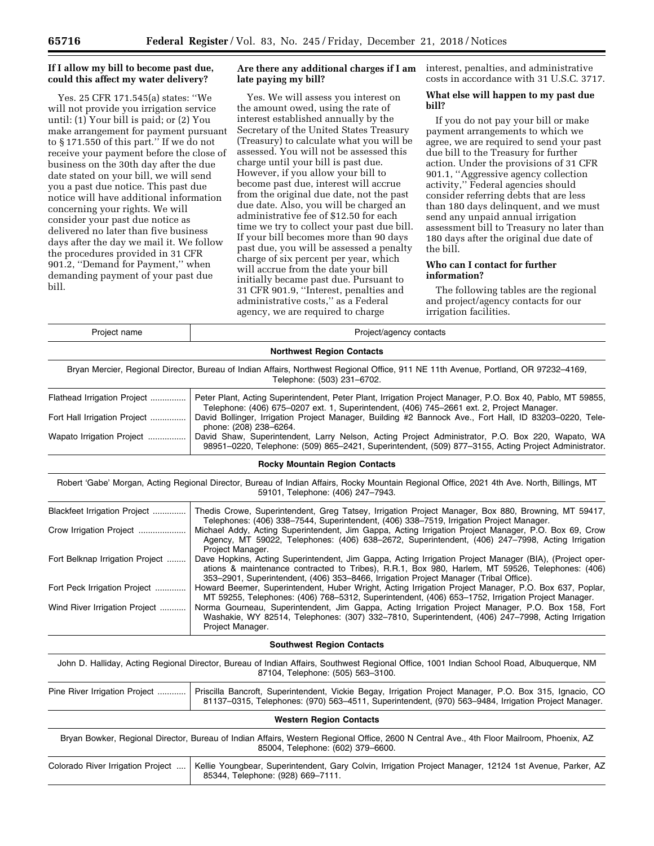### **If I allow my bill to become past due, could this affect my water delivery?**

Yes. 25 CFR 171.545(a) states: ''We will not provide you irrigation service until: (1) Your bill is paid; or (2) You make arrangement for payment pursuant to § 171.550 of this part.'' If we do not receive your payment before the close of business on the 30th day after the due date stated on your bill, we will send you a past due notice. This past due notice will have additional information concerning your rights. We will consider your past due notice as delivered no later than five business days after the day we mail it. We follow the procedures provided in 31 CFR 901.2, ''Demand for Payment,'' when demanding payment of your past due bill.

## **Are there any additional charges if I am late paying my bill?**

Yes. We will assess you interest on the amount owed, using the rate of interest established annually by the Secretary of the United States Treasury (Treasury) to calculate what you will be assessed. You will not be assessed this charge until your bill is past due. However, if you allow your bill to become past due, interest will accrue from the original due date, not the past due date. Also, you will be charged an administrative fee of \$12.50 for each time we try to collect your past due bill. If your bill becomes more than 90 days past due, you will be assessed a penalty charge of six percent per year, which will accrue from the date your bill initially became past due. Pursuant to 31 CFR 901.9, ''Interest, penalties and administrative costs,'' as a Federal agency, we are required to charge

interest, penalties, and administrative costs in accordance with 31 U.S.C. 3717.

## **What else will happen to my past due bill?**

If you do not pay your bill or make payment arrangements to which we agree, we are required to send your past due bill to the Treasury for further action. Under the provisions of 31 CFR 901.1, ''Aggressive agency collection activity," Federal agencies should consider referring debts that are less than 180 days delinquent, and we must send any unpaid annual irrigation assessment bill to Treasury no later than 180 days after the original due date of the bill.

## **Who can I contact for further information?**

The following tables are the regional and project/agency contacts for our irrigation facilities.

| Project name                      | Project/agency contacts                                                                                                                                                                                                                                                                                                |  |  |
|-----------------------------------|------------------------------------------------------------------------------------------------------------------------------------------------------------------------------------------------------------------------------------------------------------------------------------------------------------------------|--|--|
|                                   | <b>Northwest Region Contacts</b>                                                                                                                                                                                                                                                                                       |  |  |
|                                   | Bryan Mercier, Regional Director, Bureau of Indian Affairs, Northwest Regional Office, 911 NE 11th Avenue, Portland, OR 97232-4169,<br>Telephone: (503) 231-6702.                                                                                                                                                      |  |  |
| Flathead Irrigation Project       | Peter Plant, Acting Superintendent, Peter Plant, Irrigation Project Manager, P.O. Box 40, Pablo, MT 59855,<br>Telephone: (406) 675-0207 ext. 1, Superintendent, (406) 745-2661 ext. 2, Project Manager.                                                                                                                |  |  |
| Fort Hall Irrigation Project      | David Bollinger, Irrigation Project Manager, Building #2 Bannock Ave., Fort Hall, ID 83203-0220, Tele-<br>phone: (208) 238-6264.                                                                                                                                                                                       |  |  |
| Wapato Irrigation Project         | David Shaw, Superintendent, Larry Nelson, Acting Project Administrator, P.O. Box 220, Wapato, WA<br>98951-0220, Telephone: (509) 865-2421, Superintendent, (509) 877-3155, Acting Project Administrator.                                                                                                               |  |  |
|                                   | <b>Rocky Mountain Region Contacts</b>                                                                                                                                                                                                                                                                                  |  |  |
|                                   | Robert 'Gabe' Morgan, Acting Regional Director, Bureau of Indian Affairs, Rocky Mountain Regional Office, 2021 4th Ave. North, Billings, MT<br>59101, Telephone: (406) 247-7943.                                                                                                                                       |  |  |
| Blackfeet Irrigation Project      | Thedis Crowe, Superintendent, Greg Tatsey, Irrigation Project Manager, Box 880, Browning, MT 59417,                                                                                                                                                                                                                    |  |  |
| Crow Irrigation Project           | Telephones: (406) 338-7544, Superintendent, (406) 338-7519, Irrigation Project Manager.<br>Michael Addy, Acting Superintendent, Jim Gappa, Acting Irrigation Project Manager, P.O. Box 69, Crow<br>Agency, MT 59022, Telephones: (406) 638-2672, Superintendent, (406) 247-7998, Acting Irrigation<br>Project Manager. |  |  |
| Fort Belknap Irrigation Project   | Dave Hopkins, Acting Superintendent, Jim Gappa, Acting Irrigation Project Manager (BIA), (Project oper-<br>ations & maintenance contracted to Tribes), R.R.1, Box 980, Harlem, MT 59526, Telephones: (406)<br>353–2901, Superintendent, (406) 353–8466, Irrigation Project Manager (Tribal Office).                    |  |  |
| Fort Peck Irrigation Project      | Howard Beemer, Superintendent, Huber Wright, Acting Irrigation Project Manager, P.O. Box 637, Poplar,<br>MT 59255, Telephones: (406) 768–5312, Superintendent, (406) 653–1752, Irrigation Project Manager.                                                                                                             |  |  |
| Wind River Irrigation Project     | Norma Gourneau, Superintendent, Jim Gappa, Acting Irrigation Project Manager, P.O. Box 158, Fort<br>Washakie, WY 82514, Telephones: (307) 332-7810, Superintendent, (406) 247-7998, Acting Irrigation<br>Project Manager.                                                                                              |  |  |
|                                   | <b>Southwest Region Contacts</b>                                                                                                                                                                                                                                                                                       |  |  |
|                                   | John D. Halliday, Acting Regional Director, Bureau of Indian Affairs, Southwest Regional Office, 1001 Indian School Road, Albuquerque, NM<br>87104, Telephone: (505) 563-3100.                                                                                                                                         |  |  |
| Pine River Irrigation Project     | Priscilla Bancroft, Superintendent, Vickie Begay, Irrigation Project Manager, P.O. Box 315, Ignacio, CO<br>81137-0315, Telephones: (970) 563-4511, Superintendent, (970) 563-9484, Irrigation Project Manager.                                                                                                         |  |  |
|                                   | <b>Western Region Contacts</b>                                                                                                                                                                                                                                                                                         |  |  |
|                                   | Bryan Bowker, Regional Director, Bureau of Indian Affairs, Western Regional Office, 2600 N Central Ave., 4th Floor Mailroom, Phoenix, AZ<br>85004, Telephone: (602) 379-6600.                                                                                                                                          |  |  |
| Colorado River Irrigation Project | Kellie Youngbear, Superintendent, Gary Colvin, Irrigation Project Manager, 12124 1st Avenue, Parker, AZ<br>85344, Telephone: (928) 669-7111.                                                                                                                                                                           |  |  |
|                                   |                                                                                                                                                                                                                                                                                                                        |  |  |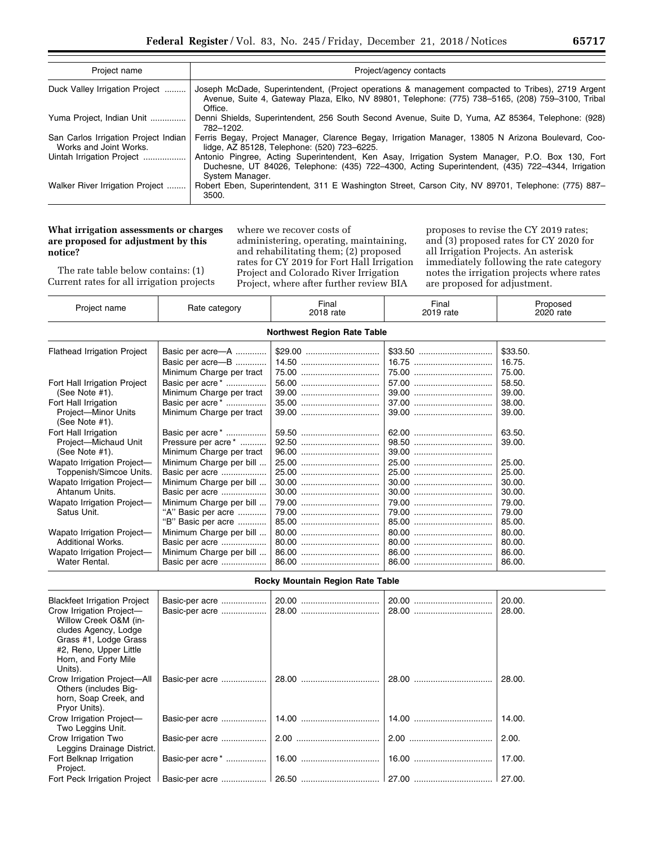| Project name                                                   | Project/agency contacts                                                                                                                                                                                                |  |  |
|----------------------------------------------------------------|------------------------------------------------------------------------------------------------------------------------------------------------------------------------------------------------------------------------|--|--|
| Duck Valley Irrigation Project                                 | Joseph McDade, Superintendent, (Project operations & management compacted to Tribes), 2719 Argent<br>Avenue, Suite 4, Gateway Plaza, Elko, NV 89801, Telephone: (775) 738-5165, (208) 759-3100, Tribal<br>Office.      |  |  |
| Yuma Project, Indian Unit                                      | Denni Shields, Superintendent, 256 South Second Avenue, Suite D, Yuma, AZ 85364, Telephone: (928)<br>782-1202.                                                                                                         |  |  |
| San Carlos Irrigation Project Indian<br>Works and Joint Works. | Ferris Begay, Project Manager, Clarence Begay, Irrigation Manager, 13805 N Arizona Boulevard, Coo-<br>lidge, AZ 85128, Telephone: (520) 723-6225.                                                                      |  |  |
| Uintah Irrigation Project                                      | Antonio Pingree, Acting Superintendent, Ken Asay, Irrigation System Manager, P.O. Box 130, Fort<br>Duchesne, UT 84026, Telephone: (435) 722–4300, Acting Superintendent, (435) 722–4344, Irrigation<br>System Manager. |  |  |
| Walker River Irrigation Project                                | Robert Eben, Superintendent, 311 E Washington Street, Carson City, NV 89701, Telephone: (775) 887–<br>3500.                                                                                                            |  |  |

## **What irrigation assessments or charges are proposed for adjustment by this notice?**

The rate table below contains: (1) Current rates for all irrigation projects

where we recover costs of administering, operating, maintaining, and rehabilitating them; (2) proposed rates for CY 2019 for Fort Hall Irrigation Project and Colorado River Irrigation Project, where after further review BIA

proposes to revise the CY 2019 rates; and (3) proposed rates for CY 2020 for all Irrigation Projects. An asterisk immediately following the rate category notes the irrigation projects where rates are proposed for adjustment.

| Project name                             | Rate category            | Final<br>2018 rate               | Final<br>2019 rate | Proposed<br>2020 rate |  |  |
|------------------------------------------|--------------------------|----------------------------------|--------------------|-----------------------|--|--|
| <b>Northwest Region Rate Table</b>       |                          |                                  |                    |                       |  |  |
| <b>Flathead Irrigation Project</b>       | Basic per acre-A         |                                  |                    | \$33.50.              |  |  |
|                                          | Basic per acre-B         | 14.50                            |                    | 16.75.                |  |  |
|                                          | Minimum Charge per tract |                                  |                    | 75.00.                |  |  |
| Fort Hall Irrigation Project             | Basic per acre*          |                                  |                    | 58.50.                |  |  |
| (See Note #1).                           | Minimum Charge per tract |                                  |                    | 39.00.                |  |  |
| Fort Hall Irrigation                     | Basic per acre*          |                                  |                    | 38.00.                |  |  |
| Project-Minor Units<br>(See Note $#1$ ). | Minimum Charge per tract |                                  |                    | 39.00.                |  |  |
| Fort Hall Irrigation                     | Basic per acre*          |                                  |                    | 63.50.                |  |  |
| Project-Michaud Unit                     | Pressure per acre*       |                                  |                    | 39.00.                |  |  |
| (See Note #1).                           | Minimum Charge per tract |                                  |                    |                       |  |  |
| Wapato Irrigation Project-               | Minimum Charge per bill  |                                  |                    | 25.00.                |  |  |
| Toppenish/Simcoe Units.                  | Basic per acre           |                                  |                    | 25.00.                |  |  |
| Wapato Irrigation Project-               | Minimum Charge per bill  |                                  |                    | 30.00.                |  |  |
| Ahtanum Units.                           | Basic per acre           |                                  |                    | 30.00.                |  |  |
| Wapato Irrigation Project-               | Minimum Charge per bill  |                                  |                    | 79.00.                |  |  |
| Satus Unit.                              | "A" Basic per acre       |                                  |                    | 79.00                 |  |  |
|                                          | "B" Basic per acre       |                                  |                    | 85.00.                |  |  |
| Wapato Irrigation Project-               | Minimum Charge per bill  |                                  |                    | 80.00.                |  |  |
| <b>Additional Works.</b>                 | Basic per acre           |                                  |                    | 80.00.                |  |  |
| Wapato Irrigation Project-               | Minimum Charge per bill  |                                  |                    | 86.00.                |  |  |
| Water Rental.                            | Basic per acre           |                                  |                    | 86.00.                |  |  |
|                                          |                          | Rocky Mountain Region Rate Table |                    |                       |  |  |
|                                          |                          | $\sim$ $\sim$                    | $\sim$ $\sim$      | $\sim$ $\sim$         |  |  |

| <b>Blackfeet Irrigation Project</b><br>Crow Irrigation Project-<br>Willow Creek O&M (in-<br>cludes Agency, Lodge<br>Grass #1, Lodge Grass<br>#2, Reno, Upper Little<br>Horn, and Forty Mile<br>Units). |  | 20.00.<br>28.00. |
|--------------------------------------------------------------------------------------------------------------------------------------------------------------------------------------------------------|--|------------------|
| Crow Irrigation Project-All<br>Others (includes Big-<br>horn, Soap Creek, and<br>Pryor Units).                                                                                                         |  | 28.00.           |
| Crow Irrigation Project-<br>Two Leggins Unit.                                                                                                                                                          |  | 14.00.           |
| Crow Irrigation Two<br>Leggins Drainage District.                                                                                                                                                      |  | 2.00.            |
| Fort Belknap Irrigation<br>Project.                                                                                                                                                                    |  | 17.00.           |
| Fort Peck Irrigation Project                                                                                                                                                                           |  |                  |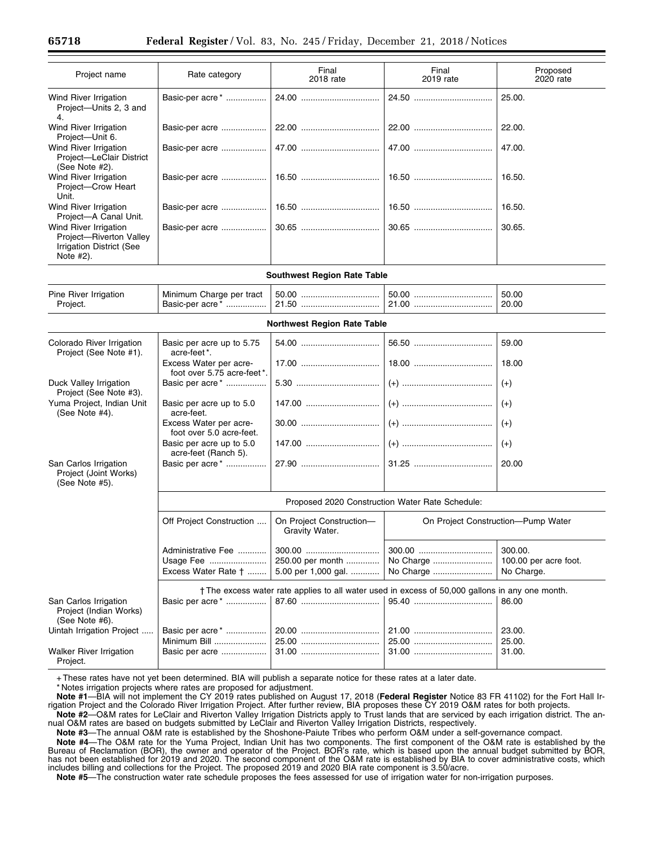| Project name                                                                                     | Rate category                                                 | Final<br>2018 rate                         | Final<br>2019 rate                                                                              | Proposed<br>2020 rate                          |  |  |
|--------------------------------------------------------------------------------------------------|---------------------------------------------------------------|--------------------------------------------|-------------------------------------------------------------------------------------------------|------------------------------------------------|--|--|
| Wind River Irrigation<br>Project-Units 2, 3 and<br>4.                                            | Basic-per acre*                                               |                                            |                                                                                                 | 25.00.                                         |  |  |
| Wind River Irrigation<br>Project-Unit 6.                                                         | Basic-per acre                                                |                                            |                                                                                                 | 22.00.                                         |  |  |
| Wind River Irrigation<br>Project-LeClair District<br>(See Note #2).                              | Basic-per acre                                                |                                            |                                                                                                 | 47.00.                                         |  |  |
| Wind River Irrigation<br>Project-Crow Heart<br>Unit.                                             | Basic-per acre                                                |                                            |                                                                                                 | 16.50.                                         |  |  |
| Wind River Irrigation<br>Project-A Canal Unit.                                                   | Basic-per acre                                                |                                            |                                                                                                 | 16.50.                                         |  |  |
| Wind River Irrigation<br>Project-Riverton Valley<br><b>Irrigation District (See</b><br>Note #2). | Basic-per acre                                                |                                            |                                                                                                 | 30.65.                                         |  |  |
| <b>Southwest Region Rate Table</b>                                                               |                                                               |                                            |                                                                                                 |                                                |  |  |
| Pine River Irrigation<br>Project.                                                                | Minimum Charge per tract<br>Basic-per acre*                   |                                            |                                                                                                 | 50.00<br>20.00                                 |  |  |
|                                                                                                  | <b>Northwest Region Rate Table</b>                            |                                            |                                                                                                 |                                                |  |  |
| Colorado River Irrigation<br>Project (See Note #1).                                              | Basic per acre up to 5.75<br>acre-feet*.                      |                                            |                                                                                                 | 59.00                                          |  |  |
|                                                                                                  | Excess Water per acre-<br>foot over 5.75 acre-feet*.          |                                            |                                                                                                 | 18.00                                          |  |  |
| Duck Valley Irrigation<br>Project (See Note #3).                                                 | Basic per acre <sup>*</sup>                                   |                                            |                                                                                                 | $(+)$                                          |  |  |
| Yuma Project, Indian Unit<br>(See Note #4).                                                      | Basic per acre up to 5.0<br>acre-feet.                        |                                            |                                                                                                 | $(+)$                                          |  |  |
|                                                                                                  | Excess Water per acre-<br>foot over 5.0 acre-feet.            |                                            |                                                                                                 | $(+)$                                          |  |  |
|                                                                                                  | Basic per acre up to 5.0<br>acre-feet (Ranch 5).              |                                            |                                                                                                 | $(+)$                                          |  |  |
| San Carlos Irrigation<br>Project (Joint Works)<br>(See Note #5).                                 | Basic per acre*                                               |                                            |                                                                                                 | 20.00                                          |  |  |
|                                                                                                  | Proposed 2020 Construction Water Rate Schedule:               |                                            |                                                                                                 |                                                |  |  |
|                                                                                                  | Off Project Construction                                      | On Project Construction-<br>Gravity Water. | On Project Construction-Pump Water                                                              |                                                |  |  |
|                                                                                                  | Administrative Fee<br>Usage Fee<br>Excess Water Rate †        | 250.00 per month<br>5.00 per 1,000 gal.    | No Charge<br>No Charge                                                                          | 300.00.<br>100.00 per acre foot.<br>No Charge. |  |  |
| San Carlos Irrigation<br>Project (Indian Works)                                                  | Basic per acre <sup>*</sup>                                   |                                            | † The excess water rate applies to all water used in excess of 50,000 gallons in any one month. | 86.00                                          |  |  |
| (See Note #6).<br>Uintah Irrigation Project<br>Walker River Irrigation                           | Basic per acre <sup>*</sup><br>Minimum Bill<br>Basic per acre |                                            |                                                                                                 | 23.00.<br>25.00.<br>31.00.                     |  |  |
| Project.                                                                                         |                                                               |                                            |                                                                                                 |                                                |  |  |

+ These rates have not yet been determined. BIA will publish a separate notice for these rates at a later date.

\* Notes irrigation projects where rates are proposed for adjustment.

**Note #1**—BIA will not implement the CY 2019 rates published on August 17, 2018 (**Federal Register** Notice 83 FR 41102) for the Fort Hall Irrigation Project and the Colorado River Irrigation Project. After further review, BIA proposes these CY 2019 O&M rates for both projects.

**Note #2**—O&M rates for LeClair and Riverton Valley Irrigation Districts apply to Trust lands that are serviced by each irrigation district. The annual O&M rates are based on budgets submitted by LeClair and Riverton Valley Irrigation Districts, respectively.

**Note #3**—The annual O&M rate is established by the Shoshone-Paiute Tribes who perform O&M under a self-governance compact.

**Note #4**—The O&M rate for the Yuma Project, Indian Unit has two components. The first component of the O&M rate is established by the Bureau of Reclamation (BOR), the owner and operator of the Project. BOR's rate, which is based upon the annual budget submitted by BOR, has not been established for 2019 and 2020. The second component of the O&M rate is established by BIA to cover administrative costs, which includes billing and collections for the Project. The proposed 2019 and 2020 BIA rate component is 3.50/acre.

**Note #5**—The construction water rate schedule proposes the fees assessed for use of irrigation water for non-irrigation purposes.